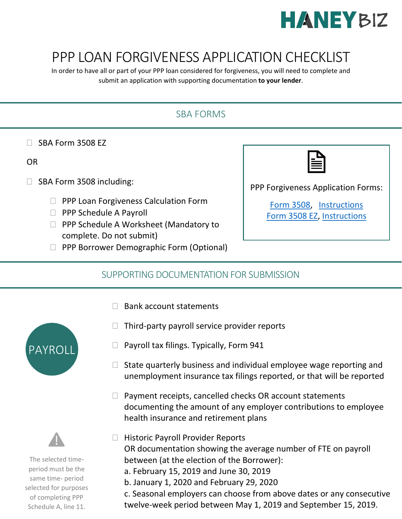

# PPP LOAN FORGIVENESS APPLICATION CHECKLIST

In order to have all or part of your PPP loan considered for forgiveness, you will need to complete and submit an application with supporting documentation **to your lender**.

## SBA FORMS

 $\Box$  SBA Form 3508 EZ

#### OR

- $\Box$  SBA Form 3508 including:
	- $\Box$  PPP Loan Forgiveness Calculation Form
	- $\Box$  PPP Schedule A Payroll
	- □ PPP Schedule A Worksheet (Mandatory to complete. Do not submit)
	- **PPP Borrower Demographic Form (Optional)**

PPP Forgiveness Application Forms:

[Form 3508,](https://www.sba.gov/sites/default/files/2020-06/PPP%20Loan%20Forgiveness%20Application%20%28Revised%206.16.2020%29-fillable_0-508.pdf) [Instructions](https://www.sba.gov/sites/default/files/2020-06/PPP%20Loan%20Forgiveness%20Application%20Instructions%20%28Revised%206.16.2020%29-508.pdf) [Form 3508 EZ,](https://www.sba.gov/sites/default/files/2020-06/PPP%20Forgiveness%20Application%203508EZ%20%28%20Revised%2006.16.2020%29%20Fillable-508.pdf) [Instructions](https://www.sba.gov/sites/default/files/2020-06/PPP%20Loan%20Forgiveness%20Application%20Form%20EZ%20Instructions%20%28Revised%2006.16.2020%29-508.pdf)

#### SUPPORTING DOCUMENTATION FOR SUBMISSION

- $\Box$  Bank account statements
- $\Box$  Third-party payroll service provider reports



- $\Box$  State quarterly business and individual employee wage reporting and unemployment insurance tax filings reported, or that will be reported
- $\Box$  Payment receipts, cancelled checks OR account statements documenting the amount of any employer contributions to employee health insurance and retirement plans



- b. January 1, 2020 and February 29, 2020
- c. Seasonal employers can choose from above dates or any consecutive twelve-week period between May 1, 2019 and September 15, 2019.





The selected timeperiod must be the same time- period selected for purposes of completing PPP Schedule A, line 11.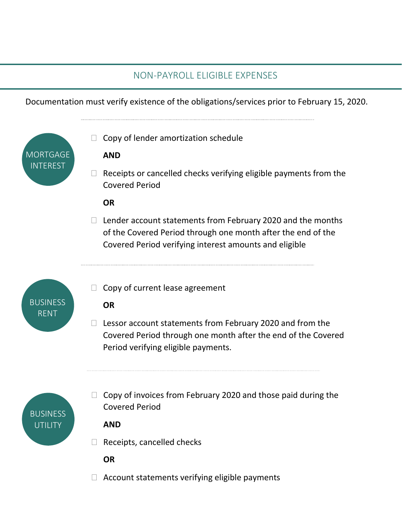## NON-PAYROLL ELIGIBLE EXPENSES

Documentation must verify existence of the obligations/services prior to February 15, 2020.

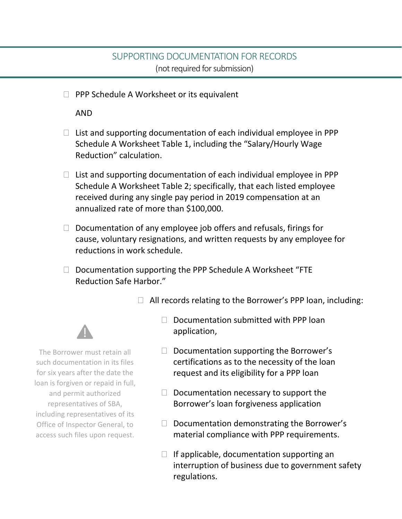#### SUPPORTING DOCUMENTATION FOR RECORDS (not required for submission)

 $\Box$  PPP Schedule A Worksheet or its equivalent

AND

- $\Box$  List and supporting documentation of each individual employee in PPP Schedule A Worksheet Table 1, including the "Salary/Hourly Wage Reduction" calculation.
- $\Box$  List and supporting documentation of each individual employee in PPP Schedule A Worksheet Table 2; specifically, that each listed employee received during any single pay period in 2019 compensation at an annualized rate of more than \$100,000.
- $\Box$  Documentation of any employee job offers and refusals, firings for cause, voluntary resignations, and written requests by any employee for reductions in work schedule.
- $\Box$  Documentation supporting the PPP Schedule A Worksheet "FTE Reduction Safe Harbor."

 $\Box$  All records relating to the Borrower's PPP loan, including:



The Borrower must retain all such documentation in its files for six years after the date the loan is forgiven or repaid in full, and permit authorized representatives of SBA, including representatives of its Office of Inspector General, to access such files upon request.

- $\Box$  Documentation submitted with PPP loan application,
- $\Box$  Documentation supporting the Borrower's certifications as to the necessity of the loan request and its eligibility for a PPP loan
- $\Box$  Documentation necessary to support the Borrower's loan forgiveness application
- $\Box$  Documentation demonstrating the Borrower's material compliance with PPP requirements.
- $\Box$  If applicable, documentation supporting an interruption of business due to government safety regulations.